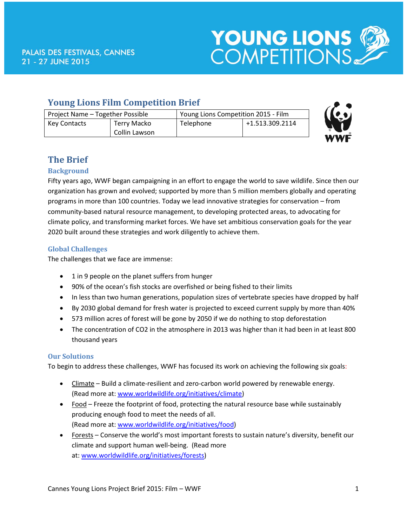

# **Young Lions Film Competition Brief**

| Project Name - Together Possible |               | Young Lions Competition 2015 - Film |                 |
|----------------------------------|---------------|-------------------------------------|-----------------|
| <b>Key Contacts</b>              | Terry Macko   | Telephone                           | +1.513.309.2114 |
|                                  | Collin Lawson |                                     |                 |



# **The Brief**

## **Background**

Fifty years ago, WWF began campaigning in an effort to engage the world to save wildlife. Since then our organization has grown and evolved; supported by more than 5 million members globally and operating programs in more than 100 countries. Today we lead innovative strategies for conservation – from community-based natural resource management, to developing protected areas, to advocating for climate policy, and transforming market forces. We have set ambitious conservation goals for the year 2020 built around these strategies and work diligently to achieve them.

## **Global Challenges**

The challenges that we face are immense:

- 1 in 9 people on the planet suffers from hunger
- 90% of the ocean's fish stocks are overfished or being fished to their limits
- In less than two human generations, population sizes of vertebrate species have dropped by half
- By 2030 global demand for fresh water is projected to exceed current supply by more than 40%
- 573 million acres of forest will be gone by 2050 if we do nothing to stop deforestation
- The concentration of CO2 in the atmosphere in 2013 was higher than it had been in at least 800 thousand years

## **Our Solutions**

To begin to address these challenges, WWF has focused its work on achieving the following six goals:

- Climate Build a climate-resilient and zero-carbon world powered by renewable energy. (Read more at: [www.worldwildlife.org/initiatives/climate\)](http://www.worldwildlife.org/initiatives/climate)
- Food Freeze the footprint of food, protecting the natural resource base while sustainably producing enough food to meet the needs of all. (Read more at: [www.worldwildlife.org/initiatives/food\)](http://www.worldwildlife.org/initiatives/food)
- Forests Conserve the world's most important forests to sustain nature's diversity, benefit our climate and support human well-being. (Read more at: [www.worldwildlife.org/initiatives/forests\)](http://www.worldwildlife.org/initiatives/forests)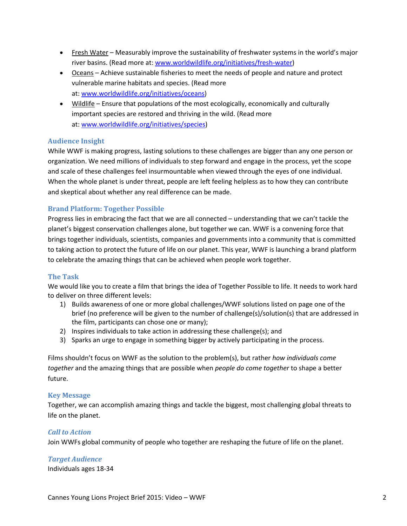- Fresh Water Measurably improve the sustainability of freshwater systems in the world's major river basins. (Read more at: [www.worldwildlife.org/initiatives/fresh-water\)](http://www.worldwildlife.org/initiatives/fresh-water)
- Oceans Achieve sustainable fisheries to meet the needs of people and nature and protect vulnerable marine habitats and species. (Read more at: [www.worldwildlife.org/initiatives/oceans\)](http://www.worldwildlife.org/initiatives/oceans)
- Wildlife Ensure that populations of the most ecologically, economically and culturally important species are restored and thriving in the wild. (Read more at: [www.worldwildlife.org/initiatives/species\)](http://www.worldwildlife.org/initiatives/species)

#### **Audience Insight**

While WWF is making progress, lasting solutions to these challenges are bigger than any one person or organization. We need millions of individuals to step forward and engage in the process, yet the scope and scale of these challenges feel insurmountable when viewed through the eyes of one individual. When the whole planet is under threat, people are left feeling helpless as to how they can contribute and skeptical about whether any real difference can be made.

#### **Brand Platform: Together Possible**

Progress lies in embracing the fact that we are all connected – understanding that we can't tackle the planet's biggest conservation challenges alone, but together we can. WWF is a convening force that brings together individuals, scientists, companies and governments into a community that is committed to taking action to protect the future of life on our planet. This year, WWF is launching a brand platform to celebrate the amazing things that can be achieved when people work together.

#### **The Task**

We would like you to create a film that brings the idea of Together Possible to life. It needs to work hard to deliver on three different levels:

- 1) Builds awareness of one or more global challenges/WWF solutions listed on page one of the brief (no preference will be given to the number of challenge(s)/solution(s) that are addressed in the film, participants can chose one or many);
- 2) Inspires individuals to take action in addressing these challenge(s); and
- 3) Sparks an urge to engage in something bigger by actively participating in the process.

Films shouldn't focus on WWF as the solution to the problem(s), but rather *how individuals come together* and the amazing things that are possible when *people do come together* to shape a better future.

#### **Key Message**

Together, we can accomplish amazing things and tackle the biggest, most challenging global threats to life on the planet.

#### *Call to Action*

Join WWFs global community of people who together are reshaping the future of life on the planet.

*Target Audience*  Individuals ages 18-34